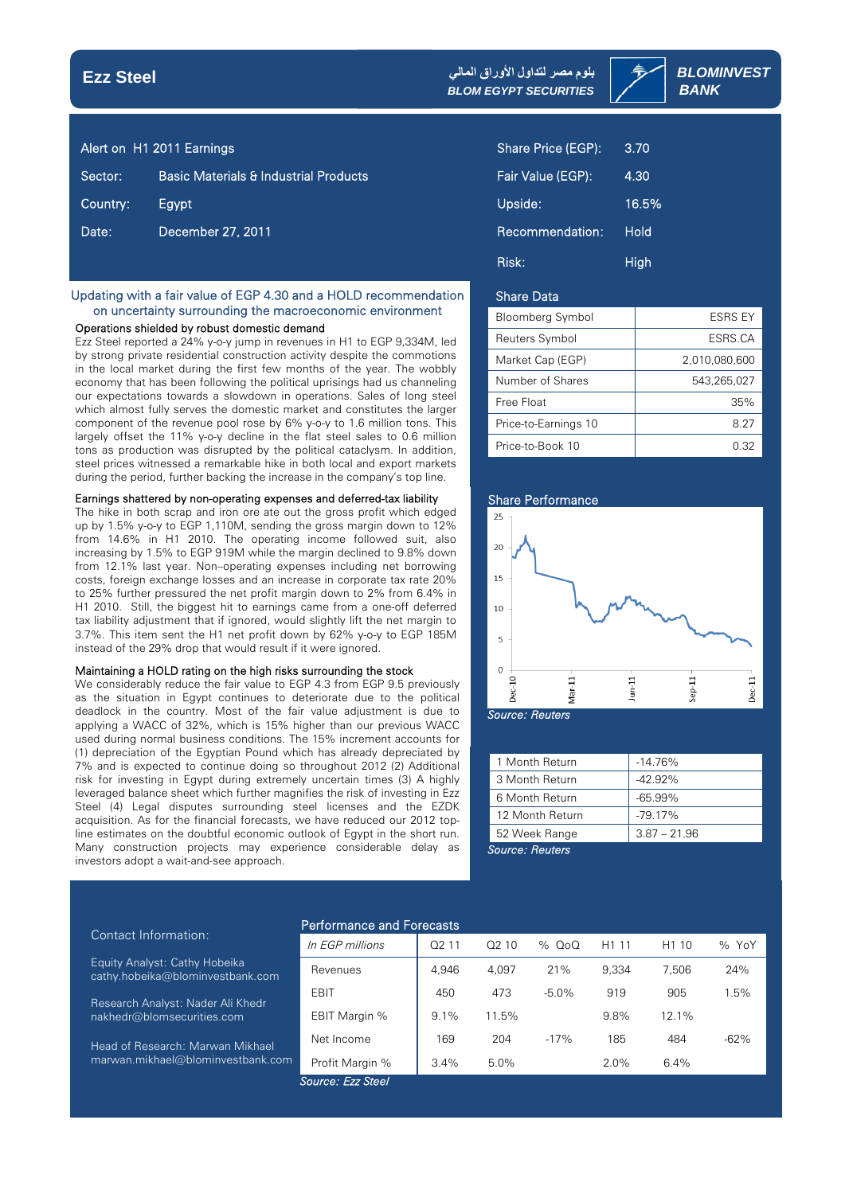## **Ezz Steel**

*BLOMINVEST* **بلوم مصر لتداول الأوراق المالي** **BLOM EGYPT SECURITIES | SANK** 

|          | Alert on H1 2011 Earnings                        | Share Price (EGP): | 3.70        |
|----------|--------------------------------------------------|--------------------|-------------|
| Sector:  | <b>Basic Materials &amp; Industrial Products</b> | Fair Value (EGP):  | 4.30        |
| Country: | Egypt                                            | Upside:            | 16.5%       |
| Date:    | December 27, 2011                                | Recommendation:    | <b>Hold</b> |
|          |                                                  | <b>DESCRIPTION</b> |             |

### Updating with a fair value of EGP 4.30 and a HOLD recommendation on uncertainty surrounding the macroeconomic environment

### Operations shielded by robust domestic demand

Ezz Steel reported a 24% y-o-y jump in revenues in H1 to EGP 9,334M, led by strong private residential construction activity despite the commotions in the local market during the first few months of the year. The wobbly economy that has been following the political uprisings had us channeling our expectations towards a slowdown in operations. Sales of long steel which almost fully serves the domestic market and constitutes the larger component of the revenue pool rose by 6% y-o-y to 1.6 million tons. This largely offset the 11% y-o-y decline in the flat steel sales to 0.6 million tons as production was disrupted by the political cataclysm. In addition, steel prices witnessed a remarkable hike in both local and export markets during the period, further backing the increase in the company's top line.

### Earnings shattered by non-operating expenses and deferred-tax liability

The hike in both scrap and iron ore ate out the gross profit which edged up by 1.5% y-o-y to EGP 1,110M, sending the gross margin down to 12% from 14.6% in H1 2010. The operating income followed suit, also increasing by 1.5% to EGP 919M while the margin declined to 9.8% down from 12.1% last year. Non–operating expenses including net borrowing costs, foreign exchange losses and an increase in corporate tax rate 20% to 25% further pressured the net profit margin down to 2% from 6.4% in H1 2010. Still, the biggest hit to earnings came from a one-off deferred tax liability adjustment that if ignored, would slightly lift the net margin to 3.7%. This item sent the H1 net profit down by 62% y-o-y to EGP 185M instead of the 29% drop that would result if it were ignored.

#### Maintaining a HOLD rating on the high risks surrounding the stock

We considerably reduce the fair value to EGP 4.3 from EGP 9.5 previously as the situation in Egypt continues to deteriorate due to the political deadlock in the country. Most of the fair value adjustment is due to applying a WACC of 32%, which is 15% higher than our previous WACC used during normal business conditions. The 15% increment accounts for (1) depreciation of the Egyptian Pound which has already depreciated by 7% and is expected to continue doing so throughout 2012 (2) Additional risk for investing in Egypt during extremely uncertain times (3) A highly leveraged balance sheet which further magnifies the risk of investing in Ezz Steel (4) Legal disputes surrounding steel licenses and the EZDK acquisition. As for the financial forecasts, we have reduced our 2012 topline estimates on the doubtful economic outlook of Egypt in the short run. Many construction projects may experience considerable delay as investors adopt a wait-and-see approach.

| Share Price (EGP): | 3.70  |
|--------------------|-------|
| Fair Value (EGP):  | 4.30  |
| Upside:            | 16.5% |
| Recommendation:    | Hold  |
| Risk:              | High  |

### Share Data

| <b>Bloomberg Symbol</b> | ESRS EY       |
|-------------------------|---------------|
| Reuters Symbol          | ESRS.CA       |
| Market Cap (EGP)        | 2.010.080.600 |
| Number of Shares        | 543.265.027   |
| Free Float              | 35%           |
| Price-to-Earnings 10    | 8.27          |
| Price-to-Book 10        | በ 32          |



*Source: Reuters*

| 1 Month Return  | $-14.76\%$     |  |  |  |
|-----------------|----------------|--|--|--|
| 3 Month Return  | $-4299%$       |  |  |  |
| 6 Month Return  | -65.99%        |  |  |  |
| 12 Month Return | $-79.17%$      |  |  |  |
| 52 Week Range   | $3.87 - 21.96$ |  |  |  |
| Source: Reuters |                |  |  |  |

### Contact Information:

Equity Analyst: Cathy Hobeika cathy.hobeika@blominvestbank.com

 Research Analyst: Nader Ali Khedr nakhedr@blomsecurities.com

 Head of Research: Marwan Mikhael marwan.mikhael@blominvestbank.com

### Performance and Forecasts

| In EGP millions    | Q <sub>2</sub> 11 | Q <sub>2</sub> 10 | % 0o0   | H <sub>1</sub> 11 | H <sub>1</sub> 10 | % YoY  |  |
|--------------------|-------------------|-------------------|---------|-------------------|-------------------|--------|--|
| Revenues           | 4.946             | 4.097             | 21%     | 9.334             | 7.506             | 24%    |  |
| EBIT               | 450               | 473               | $-5.0%$ | 919               | 905               | 1.5%   |  |
| EBIT Margin %      | $9.1\%$           | 11.5%             |         | 9.8%              | $12.1\%$          |        |  |
| Net Income         | 169               | 204               | $-17%$  | 185               | 484               | $-62%$ |  |
| Profit Margin %    | 3.4%              | $5.0\%$           |         | 2.0%              | 6.4%              |        |  |
| Source: Ezz Steel' |                   |                   |         |                   |                   |        |  |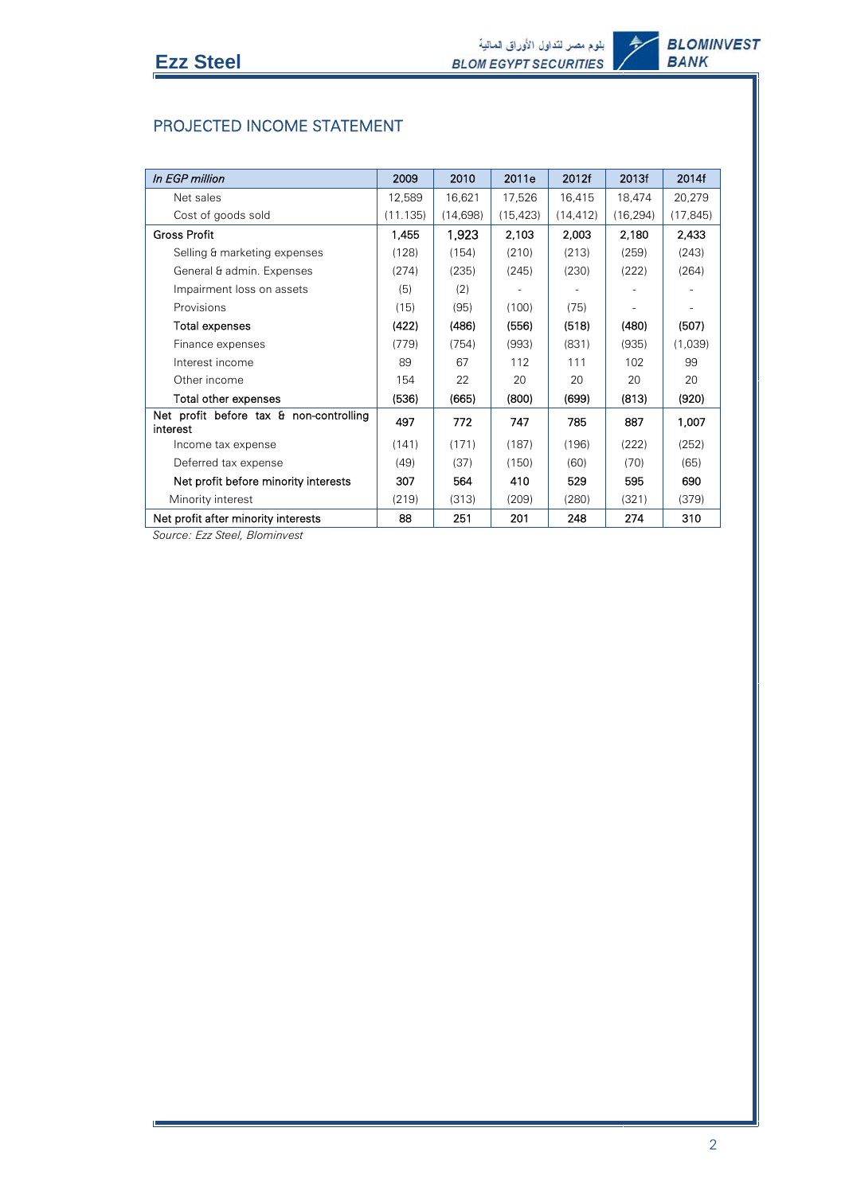Ī

# PROJECTED INCOME STATEMENT

| In EGP million                                      | 2009     | 2010      | 2011e     | 2012f     | 2013f     | 2014f     |
|-----------------------------------------------------|----------|-----------|-----------|-----------|-----------|-----------|
| Net sales                                           | 12,589   | 16,621    | 17,526    | 16,415    | 18,474    | 20,279    |
| Cost of goods sold                                  | (11.135) | (14, 698) | (15, 423) | (14, 412) | (16, 294) | (17, 845) |
| Gross Profit                                        | 1,455    | 1,923     | 2,103     | 2,003     | 2,180     | 2,433     |
| Selling & marketing expenses                        | (128)    | (154)     | (210)     | (213)     | (259)     | (243)     |
| General & admin. Expenses                           | (274)    | (235)     | (245)     | (230)     | (222)     | (264)     |
| Impairment loss on assets                           | (5)      | (2)       |           |           |           |           |
| Provisions                                          | (15)     | (95)      | (100)     | (75)      |           |           |
| Total expenses                                      | (422)    | (486)     | (556)     | (518)     | (480)     | (507)     |
| Finance expenses                                    | (779)    | (754)     | (993)     | (831)     | (935)     | (1,039)   |
| Interest income                                     | 89       | 67        | 112       | 111       | 102       | 99        |
| Other income                                        | 154      | 22        | 20        | 20        | 20        | 20        |
| Total other expenses                                | (536)    | (665)     | (800)     | (699)     | (813)     | (920)     |
| Net profit before tax & non-controlling<br>interest | 497      | 772       | 747       | 785       | 887       | 1,007     |
| Income tax expense                                  | (141)    | (171)     | (187)     | (196)     | (222)     | (252)     |
| Deferred tax expense                                | (49)     | (37)      | (150)     | (60)      | (70)      | (65)      |
| Net profit before minority interests                | 307      | 564       | 410       | 529       | 595       | 690       |
| Minority interest                                   | (219)    | (313)     | (209)     | (280)     | (321)     | (379)     |
| Net profit after minority interests                 | 88       | 251       | 201       | 248       | 274       | 310       |

*Source: Ezz Steel, Blominvest*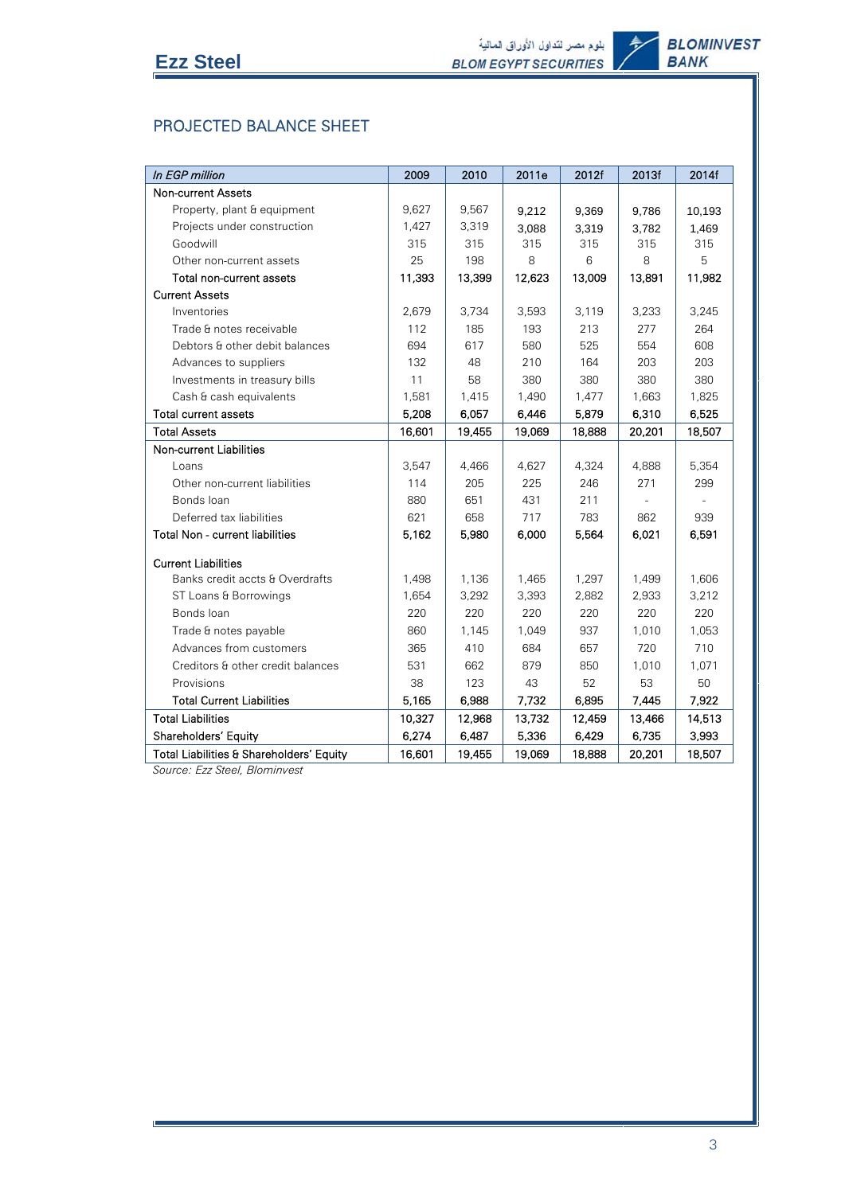Ī

# PROJECTED BALANCE SHEET

| In EGP million                           | 2009   | 2010   | 2011e  | 2012f  | 2013f  | 2014f  |
|------------------------------------------|--------|--------|--------|--------|--------|--------|
| <b>Non-current Assets</b>                |        |        |        |        |        |        |
| Property, plant & equipment              | 9.627  | 9,567  | 9,212  | 9,369  | 9,786  | 10,193 |
| Projects under construction              | 1,427  | 3,319  | 3,088  | 3,319  | 3,782  | 1,469  |
| Goodwill                                 | 315    | 315    | 315    | 315    | 315    | 315    |
| Other non-current assets                 | 25     | 198    | 8      | 6      | 8      | 5      |
| Total non-current assets                 | 11,393 | 13,399 | 12,623 | 13,009 | 13,891 | 11,982 |
| <b>Current Assets</b>                    |        |        |        |        |        |        |
| Inventories                              | 2,679  | 3,734  | 3,593  | 3,119  | 3,233  | 3,245  |
| Trade & notes receivable                 | 112    | 185    | 193    | 213    | 277    | 264    |
| Debtors & other debit balances           | 694    | 617    | 580    | 525    | 554    | 608    |
| Advances to suppliers                    | 132    | 48     | 210    | 164    | 203    | 203    |
| Investments in treasury bills            | 11     | 58     | 380    | 380    | 380    | 380    |
| Cash & cash equivalents                  | 1,581  | 1,415  | 1,490  | 1,477  | 1,663  | 1,825  |
| <b>Total current assets</b>              | 5,208  | 6,057  | 6,446  | 5,879  | 6,310  | 6,525  |
| <b>Total Assets</b>                      | 16,601 | 19,455 | 19,069 | 18,888 | 20,201 | 18,507 |
| <b>Non-current Liabilities</b>           |        |        |        |        |        |        |
| Loans                                    | 3,547  | 4,466  | 4,627  | 4,324  | 4,888  | 5,354  |
| Other non-current liabilities            | 114    | 205    | 225    | 246    | 271    | 299    |
| Bonds loan                               | 880    | 651    | 431    | 211    |        |        |
| Deferred tax liabilities                 | 621    | 658    | 717    | 783    | 862    | 939    |
| <b>Total Non - current liabilities</b>   | 5,162  | 5,980  | 6,000  | 5,564  | 6.021  | 6,591  |
| <b>Current Liabilities</b>               |        |        |        |        |        |        |
| Banks credit accts & Overdrafts          | 1,498  | 1,136  | 1,465  | 1,297  | 1,499  | 1,606  |
| ST Loans & Borrowings                    | 1,654  | 3,292  | 3,393  | 2,882  | 2,933  | 3,212  |
| Bonds loan                               | 220    | 220    | 220    | 220    | 220    | 220    |
| Trade & notes payable                    | 860    | 1,145  | 1,049  | 937    | 1,010  | 1,053  |
| Advances from customers                  | 365    | 410    | 684    | 657    | 720    | 710    |
| Creditors & other credit balances        | 531    | 662    | 879    | 850    | 1,010  | 1,071  |
| Provisions                               | 38     | 123    | 43     | 52     | 53     | 50     |
| <b>Total Current Liabilities</b>         | 5.165  | 6,988  | 7,732  | 6,895  | 7,445  | 7,922  |
| <b>Total Liabilities</b>                 | 10,327 | 12,968 | 13,732 | 12,459 | 13,466 | 14,513 |
| Shareholders' Equity                     | 6,274  | 6,487  | 5,336  | 6,429  | 6,735  | 3,993  |
| Total Liabilities & Shareholders' Equity | 16,601 | 19,455 | 19,069 | 18,888 | 20,201 | 18,507 |

*Source: Ezz Steel, Blominvest*